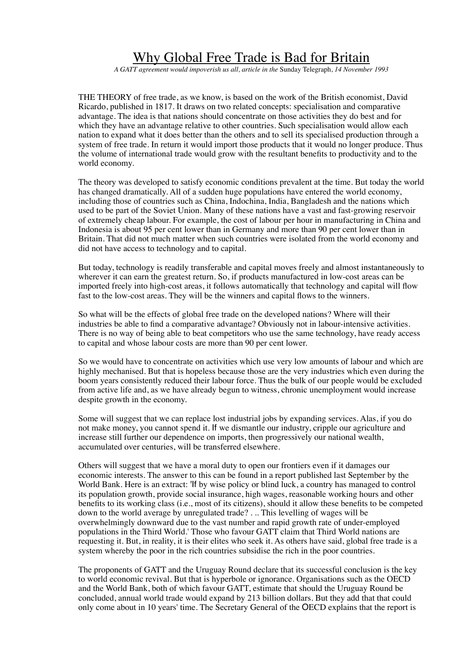## Why Global Free Trade is Bad for Britain

*A GATT agreement would impoverish us all, article in the* Sunday Telegraph, *14 November 1993* 

THE THEORY of free trade, as we know, is based on the work of the British economist, David Ricardo, published in 1817. It draws on two related concepts: specialisation and comparative advantage. The idea is that nations should concentrate on those activities they do best and for which they have an advantage relative to other countries. Such specialisation would allow each nation to expand what it does better than the others and to sell its specialised production through a system of free trade. In return it would import those products that it would no longer produce. Thus the volume of international trade would grow with the resultant benefits to productivity and to the world economy.

The theory was developed to satisfy economic conditions prevalent at the time. But today the world has changed dramatically. All of a sudden huge populations have entered the world economy, including those of countries such as China, Indochina, India, Bangladesh and the nations which used to be part of the Soviet Union. Many of these nations have a vast and fast-growing reservoir of extremely cheap labour. For example, the cost of labour per hour in manufacturing in China and Indonesia is about 95 per cent lower than in Germany and more than 90 per cent lower than in Britain. That did not much matter when such countries were isolated from the world economy and did not have access to technology and to capital.

But today, technology is readily transferable and capital moves freely and almost instantaneously to wherever it can earn the greatest return. So, if products manufactured in low-cost areas can be imported freely into high-cost areas, it follows automatically that technology and capital will flow fast to the low-cost areas. They will be the winners and capital flows to the winners.

So what will be the effects of global free trade on the developed nations? Where will their industries be able to find a comparative advantage? Obviously not in labour-intensive activities. There is no way of being able to beat competitors who use the same technology, have ready access to capital and whose labour costs are more than 90 per cent lower.

So we would have to concentrate on activities which use very low amounts of labour and which are highly mechanised. But that is hopeless because those are the very industries which even during the boom years consistently reduced their labour force. Thus the bulk of our people would be excluded from active life and, as we have already begun to witness, chronic unemployment would increase despite growth in the economy.

Some will suggest that we can replace lost industrial jobs by expanding services. Alas, if you do not make money, you cannot spend it. If we dismantle our industry, cripple our agriculture and increase still further our dependence on imports, then progressively our national wealth, accumulated over centuries, will be transferred elsewhere.

Others will suggest that we have a moral duty to open our frontiers even if it damages our economic interests. The answer to this can be found in a report published last September by the World Bank. Here is an extract: 'If by wise policy or blind luck, a country has managed to control its population growth, provide social insurance, high wages, reasonable working hours and other benefits to its working class (i.e., most of its citizens), should it allow these benefits to be competed down to the world average by unregulated trade? . .. This levelling of wages will be overwhelmingly downward due to the vast number and rapid growth rate of under-employed populations in the Third World.' Those who favour GATT claim that Third World nations are requesting it. But, in reality, it is their elites who seek it. As others have said, global free trade is a system whereby the poor in the rich countries subsidise the rich in the poor countries.

The proponents of GATT and the Uruguay Round declare that its successful conclusion is the key to world economic revival. But that is hyperbole or ignorance. Organisations such as the OECD and the World Bank, both of which favour GATT, estimate that should the Uruguay Round be concluded, annual world trade would expand by 213 billion dollars. But they add that that could only come about in 10 years' time. The Secretary General of the OECD explains that the report is